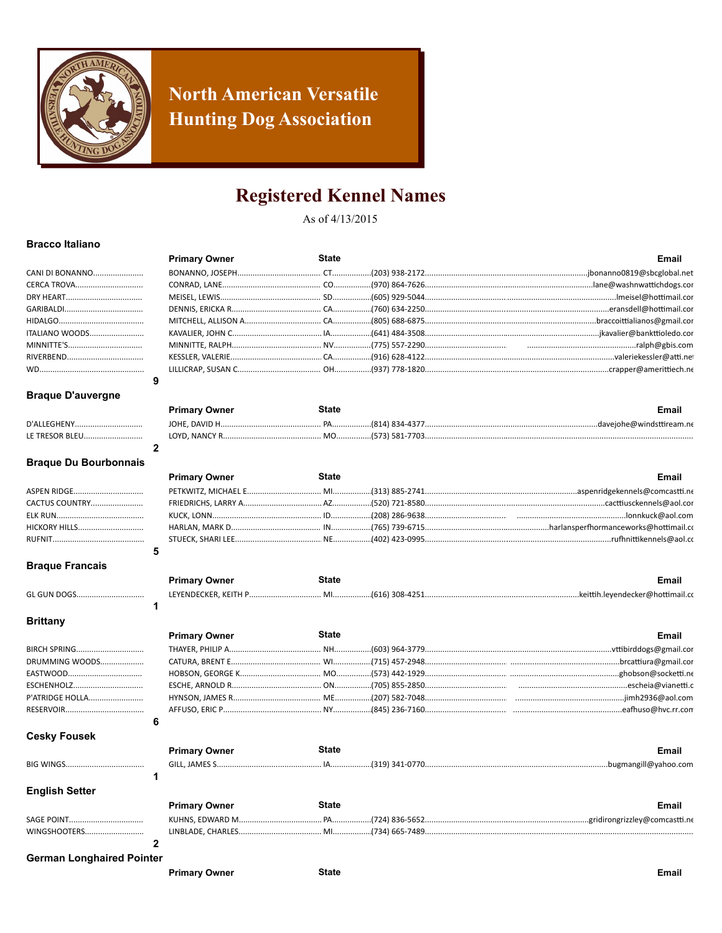

### **North American Versatile Hunting Dog Association**

### **Registered Kennel Names**

As of 4/13/2015

#### **Bracco Italiano**

|                       | <b>Primary Owner</b> | State | Email |
|-----------------------|----------------------|-------|-------|
| CANI DI BONANNO       |                      |       |       |
| <b>CERCA TROVA</b>    |                      |       |       |
|                       |                      |       |       |
|                       |                      |       |       |
|                       |                      |       |       |
| <b>ITALIANO WOODS</b> |                      |       |       |
|                       |                      |       |       |
|                       |                      |       |       |
|                       |                      |       |       |
|                       |                      |       |       |

### **Braque D'auvergne**

|                | <b>Primary Owner</b> | State |                | Email                    |
|----------------|----------------------|-------|----------------|--------------------------|
| D'ALLEGHENY.   |                      |       | (814) 834-4377 | davejohe@windsttiream.ne |
| LE TRESOR BLEU | LOYD, NANCY R.       |       | (573) 581-7703 |                          |

### **Braque Du Bourbonnais**

 $\overline{2}$ 

|                      | <b>Primary Owner</b> | State | Email |
|----------------------|----------------------|-------|-------|
|                      |                      |       |       |
| CACTUS COUNTRY       |                      |       |       |
|                      |                      |       |       |
| <b>HICKORY HILLS</b> |                      |       |       |
|                      |                      |       |       |
|                      |                      |       |       |

#### **Braque Francais**

**GL GUN DOGS.............** 

|  | <b>Primary Owner</b> | State | <br>Email |
|--|----------------------|-------|-----------|
|  | LEYENDECKER, KEITH P |       |           |
|  |                      |       |           |

### **Brittany**

| BIRCH SPRING      |  |
|-------------------|--|
| DRUMMING WOODS    |  |
|                   |  |
| <b>ESCHENHOLZ</b> |  |
| P'ATRIDGE HOLLA   |  |
|                   |  |
|                   |  |

#### **Cesky Fousek**

SAGE POINT

|                       | <b>Primary Owner</b> | <b>State</b> | <b>Email</b> |
|-----------------------|----------------------|--------------|--------------|
|                       |                      |              |              |
|                       |                      |              |              |
| <b>English Setter</b> |                      |              |              |
|                       | <b>Primary Owner</b> | <b>State</b> | <b>Email</b> |

### WINGSHOOTERS..............................  $\overline{2}$

**German Longhaired Pointer** 

**Primary Owner** 

**Primary Owner** 

**State** 

**Email** 

Email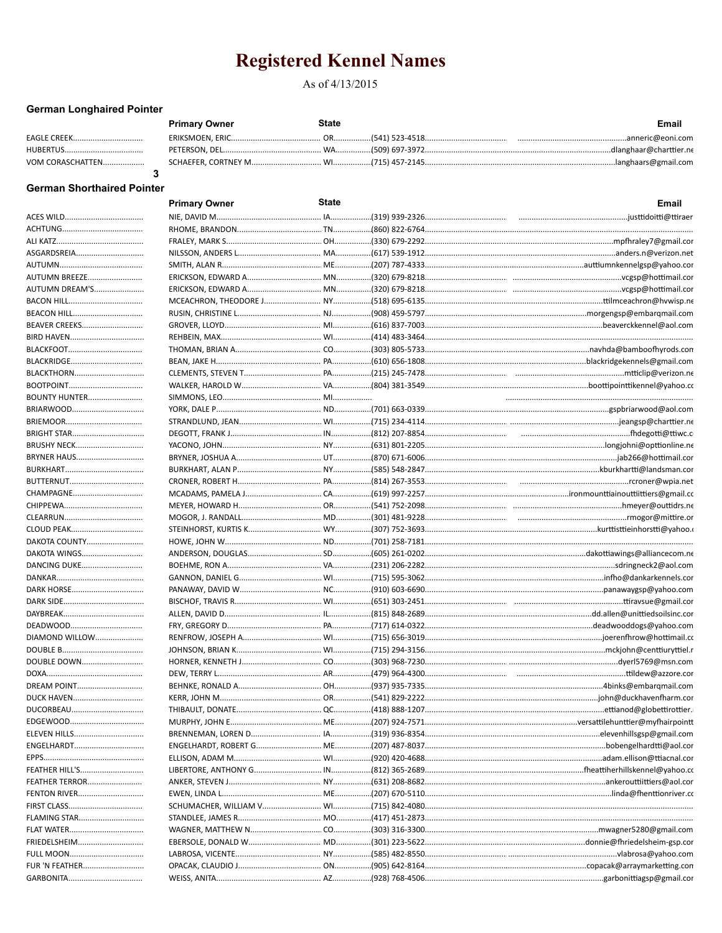As of 4/13/2015

### **German Longhaired Pointer**

|                    | <b>Primary Owner</b> | State | <b>Email</b>                                                                                           |
|--------------------|----------------------|-------|--------------------------------------------------------------------------------------------------------|
| <b>EAGLE CREEK</b> |                      |       |                                                                                                        |
|                    |                      |       |                                                                                                        |
| VOM CORASCHATTEN   |                      |       | SCHAEFER, CORTNEY M…………………………… WI………………(715) 457-2145………………………………………………………………………………langhaars@gmail.com |
|                    |                      |       |                                                                                                        |

### **German Shorthaired Pointer**

|                      | <b>Primary Owner</b> | <b>State</b> | Email                                                                                                     |
|----------------------|----------------------|--------------|-----------------------------------------------------------------------------------------------------------|
|                      |                      |              |                                                                                                           |
|                      |                      |              |                                                                                                           |
|                      |                      |              |                                                                                                           |
| ASGARDSREIA          |                      |              |                                                                                                           |
|                      |                      |              |                                                                                                           |
| AUTUMN BREEZE        |                      |              |                                                                                                           |
| AUTUMN DREAM'S       |                      |              |                                                                                                           |
|                      |                      |              |                                                                                                           |
| BEACON HILL          |                      |              |                                                                                                           |
| BEAVER CREEKS        |                      |              |                                                                                                           |
|                      |                      |              |                                                                                                           |
|                      |                      |              |                                                                                                           |
| BLACKRIDGE           |                      |              |                                                                                                           |
| BLACKTHORN           |                      |              |                                                                                                           |
|                      |                      |              |                                                                                                           |
| <b>BOUNTY HUNTER</b> |                      |              |                                                                                                           |
| BRIARWOOD            |                      |              |                                                                                                           |
|                      |                      |              |                                                                                                           |
| BRIGHT STAR          |                      |              |                                                                                                           |
| BRUSHY NECK          |                      |              |                                                                                                           |
| BRYNER HAUS          |                      |              |                                                                                                           |
|                      |                      |              |                                                                                                           |
| BUTTERNUT            |                      |              |                                                                                                           |
| CHAMPAGNE            |                      |              |                                                                                                           |
|                      |                      |              |                                                                                                           |
|                      |                      |              |                                                                                                           |
| CLOUD PEAK           |                      |              |                                                                                                           |
| DAKOTA COUNTY        |                      |              |                                                                                                           |
| DAKOTA WINGS         |                      |              |                                                                                                           |
| DANCING DUKE         |                      |              |                                                                                                           |
|                      |                      |              |                                                                                                           |
| DARK HORSE           |                      |              |                                                                                                           |
|                      |                      |              |                                                                                                           |
|                      |                      |              |                                                                                                           |
|                      |                      |              |                                                                                                           |
| DIAMOND WILLOW       |                      |              |                                                                                                           |
|                      |                      |              |                                                                                                           |
| DOUBLE DOWN          |                      |              | HORNER, KENNETH J……………………………………………………(303) 968-7230………………………………………………………………………………dverl5769@msn.com        |
|                      |                      |              |                                                                                                           |
| <b>DREAM POINT</b>   |                      |              |                                                                                                           |
| DUCK HAVEN           |                      |              |                                                                                                           |
| DUCORBEAU            |                      |              |                                                                                                           |
|                      |                      |              |                                                                                                           |
| ELEVEN HILLS         |                      |              |                                                                                                           |
| ENGELHARDT           |                      |              |                                                                                                           |
|                      |                      |              |                                                                                                           |
| FEATHER HILL'S       |                      |              |                                                                                                           |
| FEATHER TERROR       |                      |              | ANKER, STEVEN J………………………………………NY………………(631) 208-8682……………………………………………………………………………ankerouttiittiers@aol.co |
| <b>FENTON RIVER</b>  |                      |              |                                                                                                           |
|                      |                      |              |                                                                                                           |
| FLAMING STAR         |                      |              |                                                                                                           |
| FLAT WATER           |                      |              | WAGNER, MATTHEW N………………………………CO……………(303) 316-3300…………………………………………………………………………mwagner5280@gmail.com       |
| FRIEDELSHEIM         |                      |              |                                                                                                           |
|                      |                      |              |                                                                                                           |
| FUR 'N FEATHER       |                      |              |                                                                                                           |
|                      |                      |              |                                                                                                           |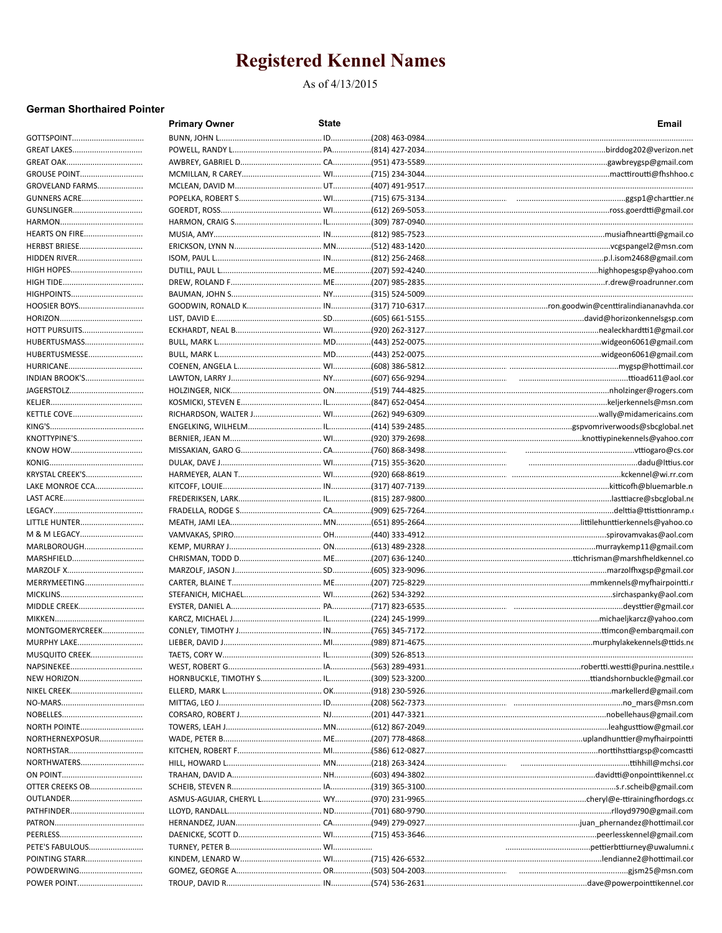As of 4/13/2015

### **German Shorthaired Pointer**

|                           | <b>Primary Owner</b> | <b>State</b> | <b>Email</b>                                                                                              |
|---------------------------|----------------------|--------------|-----------------------------------------------------------------------------------------------------------|
| GOTTSPOINT                |                      |              |                                                                                                           |
| GREAT LAKES               |                      |              |                                                                                                           |
|                           |                      |              |                                                                                                           |
| GROUSE POINT              |                      |              |                                                                                                           |
| GROVELAND FARMS           |                      |              |                                                                                                           |
| GUNNERS ACRE              |                      |              |                                                                                                           |
| GUNSLINGER                |                      |              |                                                                                                           |
|                           |                      |              |                                                                                                           |
| <b>HEARTS ON FIRE</b>     |                      |              |                                                                                                           |
| HERBST BRIESE             |                      |              |                                                                                                           |
| HIDDEN RIVER              |                      |              |                                                                                                           |
| HIGH HOPES                |                      |              |                                                                                                           |
|                           |                      |              |                                                                                                           |
| HIGHPOINTS                |                      |              |                                                                                                           |
| HOOSIER BOYS              |                      |              |                                                                                                           |
|                           |                      |              |                                                                                                           |
| HOTT PURSUITS             |                      |              |                                                                                                           |
| HUBERTUSMASS              |                      |              |                                                                                                           |
| HUBERTUSMESSE             |                      |              |                                                                                                           |
| HURRICANE                 |                      |              |                                                                                                           |
| <b>INDIAN BROOK'S</b>     |                      |              |                                                                                                           |
| JAGERSTOLZ                |                      |              |                                                                                                           |
|                           |                      |              |                                                                                                           |
| KETTLE COVE               |                      |              | RICHARDSON, WALTER J…………………………… WI……………(262) 949-6309………………………………………………………………………wally@midamericains.com   |
|                           |                      |              |                                                                                                           |
| KNOTTYPINE'S              |                      |              | BERNIER, JEAN M……………………………………… WI……………(920) 379-2698…………………………………………………………………knottiypinekennels@yahoo.com |
| KNOW HOW                  |                      |              |                                                                                                           |
|                           |                      |              |                                                                                                           |
| KRYSTAL CREEK'S           |                      |              | HARMEYER, ALAN T…………………………………… WI………………(920) 668-8619………………………………………………………………………………………kckennel@wi.rr.com  |
| LAKE MONROE CCA           |                      |              |                                                                                                           |
|                           |                      |              |                                                                                                           |
|                           |                      |              | .delttia@ttisttionramp.                                                                                   |
| LITTLE HUNTER             |                      |              |                                                                                                           |
| M & M LEGACY              |                      |              |                                                                                                           |
|                           |                      |              |                                                                                                           |
| MARLBOROUGH               |                      |              |                                                                                                           |
| MARSHFIELD                |                      |              |                                                                                                           |
| MARZOLF X<br>MERRYMEETING |                      |              |                                                                                                           |
|                           |                      |              |                                                                                                           |
|                           |                      |              |                                                                                                           |
| <b>MIDDLE CREEK</b>       |                      |              |                                                                                                           |
|                           |                      |              |                                                                                                           |
| MONTGOMERYCREEK           |                      |              |                                                                                                           |
| <b>MURPHY LAKE</b>        |                      |              |                                                                                                           |
| MUSQUITO CREEK            |                      |              |                                                                                                           |
|                           |                      |              |                                                                                                           |
| NEW HORIZON               |                      |              |                                                                                                           |
| NIKEL CREEK               |                      |              |                                                                                                           |
|                           |                      |              |                                                                                                           |
|                           |                      |              |                                                                                                           |
| NORTH POINTE              |                      |              |                                                                                                           |
| NORTHERNEXPOSUR           |                      |              |                                                                                                           |
|                           |                      |              |                                                                                                           |
| NORTHWATERS               |                      |              |                                                                                                           |
|                           |                      |              |                                                                                                           |
| OTTER CREEKS OB           |                      |              |                                                                                                           |
| OUTLANDER                 |                      |              |                                                                                                           |
| PATHFINDER                |                      |              |                                                                                                           |
|                           |                      |              |                                                                                                           |
|                           |                      |              |                                                                                                           |
| PETE'S FABULOUS           |                      |              |                                                                                                           |
| POINTING STARR            |                      |              |                                                                                                           |
| POWDERWING                |                      |              |                                                                                                           |
| POWER POINT               |                      |              |                                                                                                           |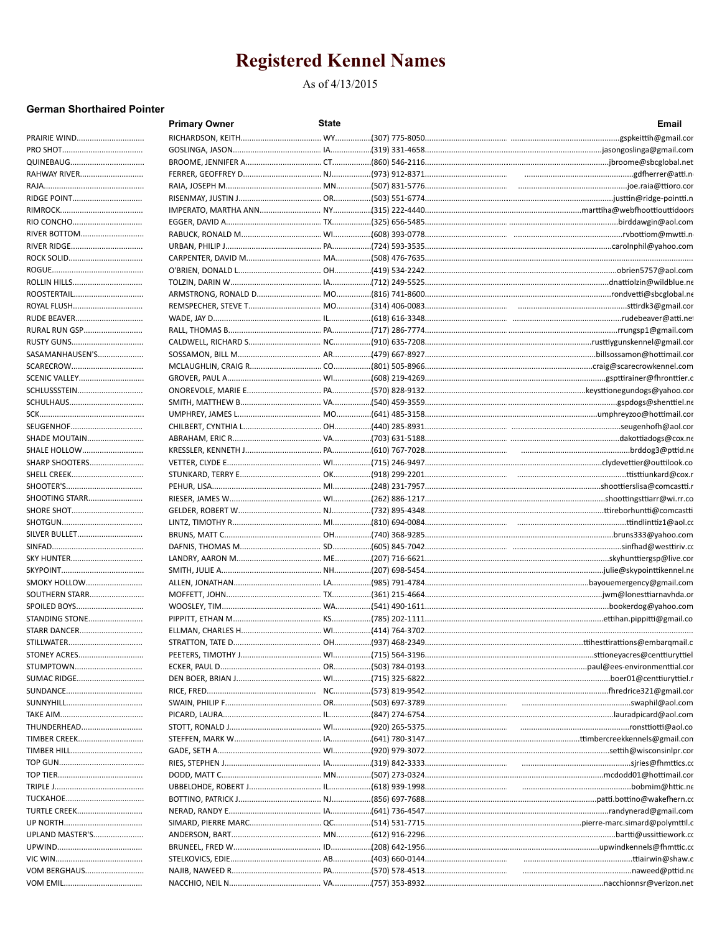### As of 4/13/2015

### **German Shorthaired Pointer**

|                           | <b>Primary Owner</b> | <b>State</b> | Email                                                                                                  |
|---------------------------|----------------------|--------------|--------------------------------------------------------------------------------------------------------|
| PRAIRIE WIND              |                      |              |                                                                                                        |
|                           |                      |              |                                                                                                        |
|                           |                      |              |                                                                                                        |
| RAHWAY RIVER              |                      |              |                                                                                                        |
|                           |                      |              |                                                                                                        |
|                           |                      |              |                                                                                                        |
|                           |                      |              |                                                                                                        |
|                           |                      |              |                                                                                                        |
| RIVER BOTTOM              |                      |              |                                                                                                        |
|                           |                      |              |                                                                                                        |
|                           |                      |              |                                                                                                        |
|                           |                      |              |                                                                                                        |
|                           |                      |              |                                                                                                        |
| ROOSTERTAIL               |                      |              |                                                                                                        |
| ROYAL FLUSH               |                      |              |                                                                                                        |
| RUDE BEAVER               |                      |              |                                                                                                        |
| RURAL RUN GSP             |                      |              |                                                                                                        |
| RUSTY GUNS                |                      |              |                                                                                                        |
| SASAMANHAUSEN'S           |                      |              |                                                                                                        |
| SCARECROW                 |                      |              |                                                                                                        |
| SCENIC VALLEY             |                      |              |                                                                                                        |
| SCHLUSSSTEIN<br>SCHULHAUS |                      |              |                                                                                                        |
|                           |                      |              |                                                                                                        |
| SEUGENHOF                 |                      |              |                                                                                                        |
| SHADE MOUTAIN             |                      |              |                                                                                                        |
| <b>SHALE HOLLOW</b>       |                      |              | KRESSLER, KENNETH J……………………………………PA…………………(610) 767-7028………………………………………………………………………………brddog3@pttid.ne |
| SHARP SHOOTERS            |                      |              |                                                                                                        |
|                           |                      |              |                                                                                                        |
|                           |                      |              |                                                                                                        |
| <b>SHOOTING STARR</b>     |                      |              |                                                                                                        |
| SHORE SHOT                |                      |              |                                                                                                        |
|                           |                      |              |                                                                                                        |
| SILVER BULLET             |                      |              |                                                                                                        |
|                           |                      |              |                                                                                                        |
| SKY HUNTER                |                      |              |                                                                                                        |
|                           |                      |              |                                                                                                        |
| SMOKY HOLLOW              |                      |              |                                                                                                        |
| SOUTHERN STARR            |                      |              |                                                                                                        |
| SPOILED BOYS              |                      |              |                                                                                                        |
| STANDING STONE            |                      |              |                                                                                                        |
| STARR DANCER              |                      |              |                                                                                                        |
|                           |                      |              |                                                                                                        |
| STONEY ACRES              |                      |              |                                                                                                        |
| STUMPTOWN                 |                      |              |                                                                                                        |
| SUMAC RIDGE               |                      |              |                                                                                                        |
|                           |                      |              |                                                                                                        |
|                           |                      |              |                                                                                                        |
|                           |                      |              |                                                                                                        |
| THUNDERHEAD               |                      |              |                                                                                                        |
| TIMBER CREEK              |                      |              |                                                                                                        |
| TIMBER HILL               |                      |              |                                                                                                        |
|                           |                      |              |                                                                                                        |
|                           |                      |              |                                                                                                        |
|                           |                      |              | UBBELOHDE, ROBERT J……………………………………………………………6618) 939-1998………………………………………………………………………………bobmim@httic.ne  |
|                           |                      |              |                                                                                                        |
| TURTLE CREEK              |                      |              |                                                                                                        |
|                           |                      |              |                                                                                                        |
| UPLAND MASTER'S           |                      |              |                                                                                                        |
|                           |                      |              |                                                                                                        |
| VOM BERGHAUS              |                      |              |                                                                                                        |
|                           |                      |              |                                                                                                        |
|                           |                      |              |                                                                                                        |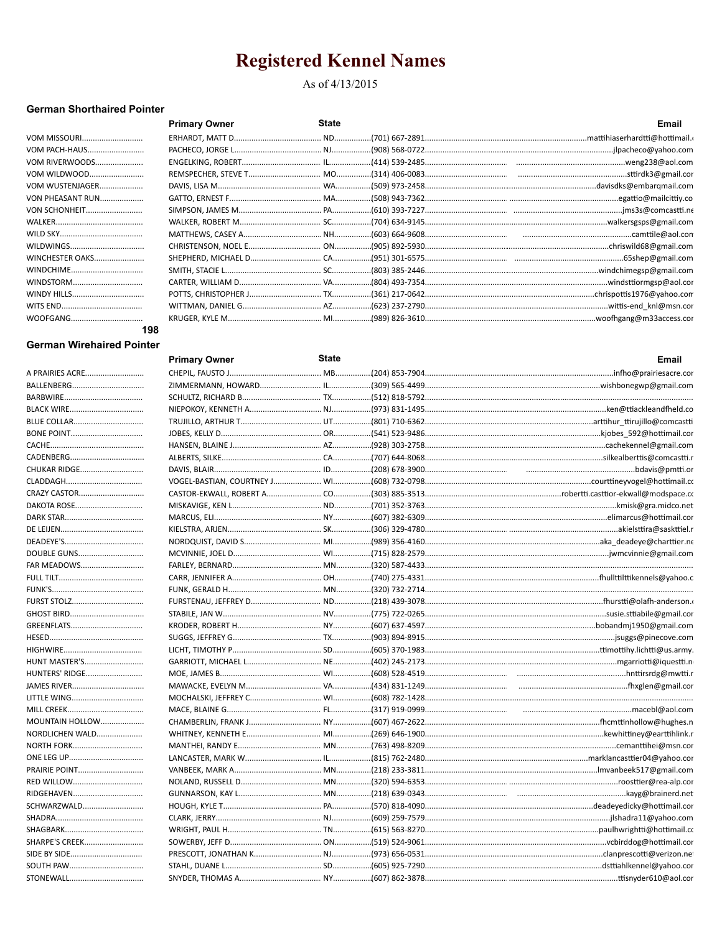### As of 4/13/2015

### **German Shorthaired Pointer**

|                      | <b>Primary Owner</b> | <b>State</b> | Email |
|----------------------|----------------------|--------------|-------|
|                      |                      |              |       |
| VOM PACH-HAUS        |                      |              |       |
| VOM RIVERWOODS       |                      |              |       |
| VOM WILDWOOD         |                      |              |       |
| VOM WUSTENJAGER      |                      |              |       |
| VON PHEASANT RUN     |                      |              |       |
| <b>VON SCHONHEIT</b> |                      |              |       |
|                      |                      |              |       |
|                      |                      |              |       |
|                      |                      |              |       |
| WINCHESTER OAKS      |                      |              |       |
| WINDCHIME            |                      |              |       |
| WINDSTORM            |                      |              |       |
| WINDY HILLS          |                      |              |       |
|                      |                      |              |       |
|                      |                      |              |       |
| 198                  |                      |              |       |

### **German Wirehaired Pointer**

|                    | <b>Primary Owner</b> | <b>State</b> | Email |
|--------------------|----------------------|--------------|-------|
| A PRAIRIES ACRE    |                      |              |       |
|                    |                      |              |       |
|                    |                      |              |       |
|                    |                      |              |       |
| <b>BLUE COLLAR</b> |                      |              |       |
| <b>BONE POINT</b>  |                      |              |       |
|                    |                      |              |       |
|                    |                      |              |       |
| CHUKAR RIDGE       |                      |              |       |
|                    |                      |              |       |
| CRAZY CASTOR       |                      |              |       |
| DAKOTA ROSE        |                      |              |       |
|                    |                      |              |       |
|                    |                      |              |       |
|                    |                      |              |       |
| DOUBLE GUNS        |                      |              |       |
| FAR MEADOWS        |                      |              |       |
|                    |                      |              |       |
|                    |                      |              |       |
| <b>FURST STOLZ</b> |                      |              |       |
|                    |                      |              |       |
| GREENFLATS         |                      |              |       |
|                    |                      |              |       |
|                    |                      |              |       |
| HUNT MASTER'S      |                      |              |       |
| HUNTERS' RIDGE     |                      |              |       |
|                    |                      |              |       |
| LITTLE WING        |                      |              |       |
|                    |                      |              |       |
| MOUNTAIN HOLLOW    |                      |              |       |
| NORDLICHEN WALD    |                      |              |       |
| <b>NORTH FORK</b>  |                      |              |       |
|                    |                      |              |       |
| PRAIRIE POINT      |                      |              |       |
|                    |                      |              |       |
| RIDGEHAVEN         |                      |              |       |
| SCHWARZWALD        |                      |              |       |
|                    |                      |              |       |
|                    |                      |              |       |
| SHARPE'S CREEK     |                      |              |       |
| SIDE BY SIDE       |                      |              |       |
| <b>SOUTH PAW</b>   |                      |              |       |
|                    |                      |              |       |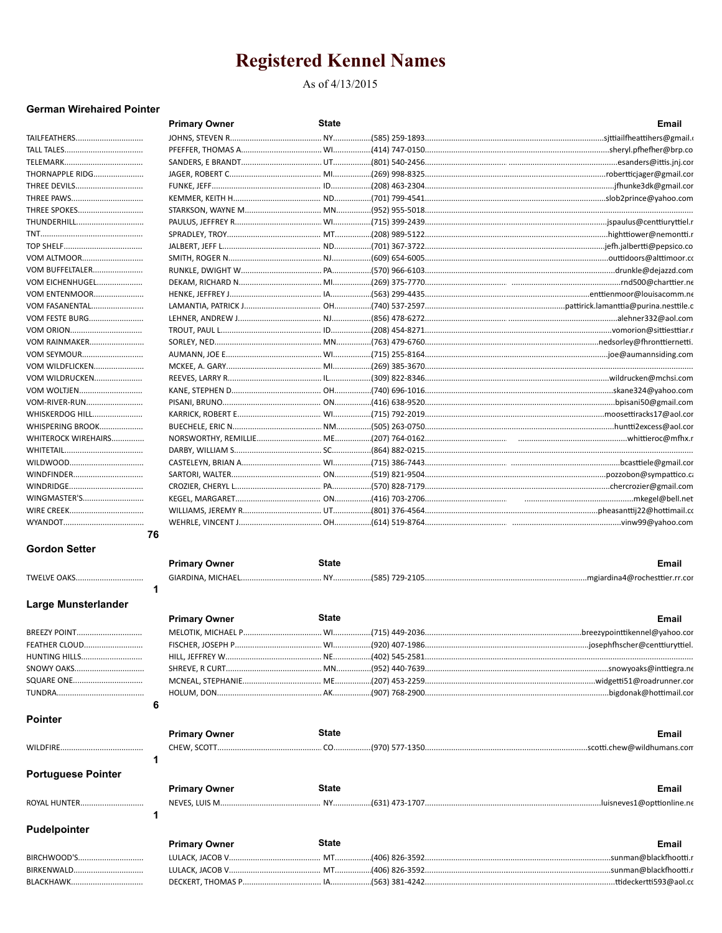### As of 4/13/2015

### **German Wirehaired Pointer**

|                           | <b>Primary Owner</b> | <b>State</b> | <b>Email</b>                                                                                                 |
|---------------------------|----------------------|--------------|--------------------------------------------------------------------------------------------------------------|
| TAILFEATHERS              |                      |              | JOHNS, STEVEN R……………………………………… NY………………(585) 259-1893……………………………………………………………………………sjttiailfheattihers@gmail. |
|                           |                      |              |                                                                                                              |
|                           |                      |              |                                                                                                              |
| THORNAPPLE RIDG           |                      |              |                                                                                                              |
| THREE DEVILS              |                      |              |                                                                                                              |
| THREE PAWS                |                      |              |                                                                                                              |
| THREE SPOKES              |                      |              |                                                                                                              |
| THUNDERHILL               |                      |              |                                                                                                              |
|                           |                      |              |                                                                                                              |
|                           |                      |              |                                                                                                              |
| VOM ALTMOOR               |                      |              |                                                                                                              |
| VOM BUFFELTALER           |                      |              |                                                                                                              |
| VOM EICHENHUGEL           |                      |              |                                                                                                              |
| <b>VOM ENTENMOOR</b>      |                      |              |                                                                                                              |
| VOM FASANENTAL            |                      |              |                                                                                                              |
| VOM FESTE BURG            |                      |              |                                                                                                              |
|                           |                      |              |                                                                                                              |
| VOM RAINMAKER             |                      |              |                                                                                                              |
| VOM SEYMOUR               |                      |              |                                                                                                              |
| VOM WILDFLICKEN           |                      |              |                                                                                                              |
| VOM WILDRUCKEN            |                      |              |                                                                                                              |
| VOM WOLTJEN               |                      |              |                                                                                                              |
| VOM-RIVER-RUN             |                      |              |                                                                                                              |
| WHISKERDOG HILL           |                      |              |                                                                                                              |
| WHISPERING BROOK          |                      |              |                                                                                                              |
| WHITEROCK WIREHAIRS       |                      |              |                                                                                                              |
|                           |                      |              |                                                                                                              |
|                           |                      |              |                                                                                                              |
| WINDFINDER                |                      |              |                                                                                                              |
| WINDRIDGE                 |                      |              |                                                                                                              |
| WINGMASTER'S              |                      |              |                                                                                                              |
|                           |                      |              |                                                                                                              |
|                           |                      |              | WEHRLE, VINCENT J………………………………………………………………614) 519-8764…………………………………………………………………………………………vinw99@yahoo.com     |
|                           | 76                   |              |                                                                                                              |
| <b>Gordon Setter</b>      | <b>Primary Owner</b> | <b>State</b> | <b>Email</b>                                                                                                 |
|                           |                      |              |                                                                                                              |
| TWELVE OAKS               |                      |              |                                                                                                              |
|                           | 1                    |              |                                                                                                              |
| Large Munsterlander       |                      |              |                                                                                                              |
|                           | <b>Primary Owner</b> | <b>State</b> | Email                                                                                                        |
| BREEZY POINT              |                      |              |                                                                                                              |
| <b>FEATHER CLOUD</b>      | FISCHER, JOSEPH P    |              |                                                                                                              |
| HUNTING HILLS             |                      |              |                                                                                                              |
| SNOWY OAKS                |                      |              |                                                                                                              |
| SQUARE ONE                |                      |              |                                                                                                              |
|                           |                      |              |                                                                                                              |
| <b>Pointer</b>            | 6                    |              |                                                                                                              |
|                           | <b>Primary Owner</b> | <b>State</b> | Email                                                                                                        |
|                           |                      |              |                                                                                                              |
|                           | 1                    |              |                                                                                                              |
|                           |                      |              |                                                                                                              |
| <b>Portuguese Pointer</b> |                      |              |                                                                                                              |
|                           | <b>Primary Owner</b> | <b>State</b> | Email                                                                                                        |
| ROYAL HUNTER              |                      |              |                                                                                                              |
|                           | 1                    |              |                                                                                                              |
| <b>Pudelpointer</b>       |                      |              |                                                                                                              |
|                           | <b>Primary Owner</b> | State        | Email                                                                                                        |
| BIRCHWOOD'S               |                      |              |                                                                                                              |
|                           |                      |              |                                                                                                              |

|             | . |                                                                                                          | ынан |
|-------------|---|----------------------------------------------------------------------------------------------------------|------|
| BIRCHWOOD'S |   | LULACK, JACOB V……………………………………………MT……………(406) 826-3592………………………………………………………………………………sunman@blackfhootti.r |      |
| BIRKENWALD  |   |                                                                                                          |      |
|             |   |                                                                                                          |      |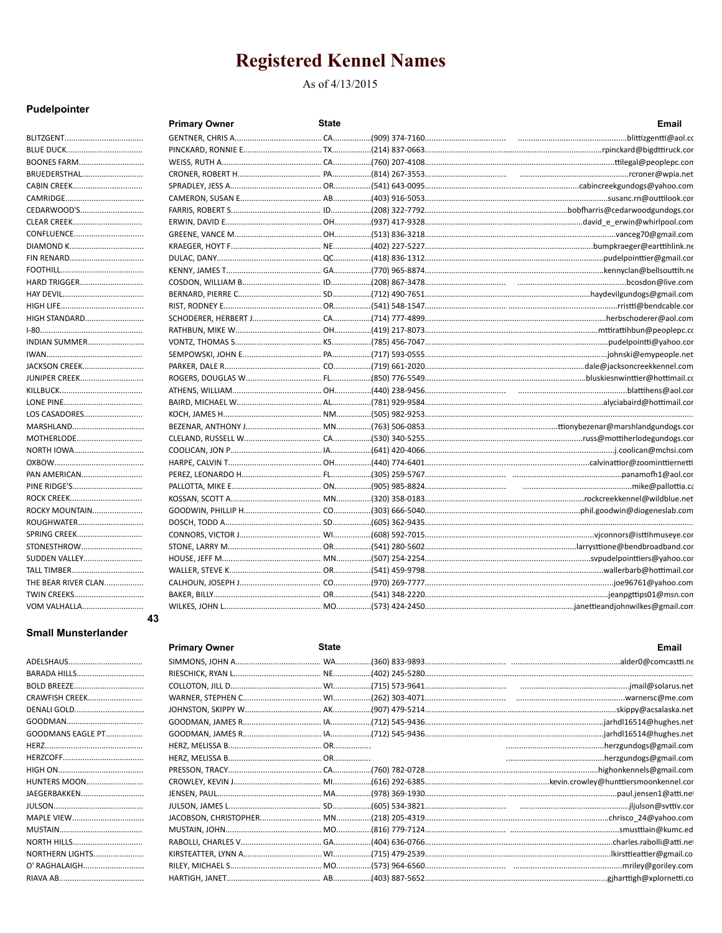### As of 4/13/2015

### Pudelpointer

|                      | <b>Primary Owner</b> | State | Email |
|----------------------|----------------------|-------|-------|
|                      |                      |       |       |
|                      |                      |       |       |
| <b>BOONES FARM</b>   |                      |       |       |
| BRUEDERSTHAL         |                      |       |       |
|                      |                      |       |       |
|                      |                      |       |       |
| CEDARWOOD'S          |                      |       |       |
| <b>CLEAR CREEK</b>   |                      |       |       |
| CONFLUENCE           |                      |       |       |
|                      |                      |       |       |
| <b>FIN RENARD</b>    |                      |       |       |
|                      |                      |       |       |
| <b>HARD TRIGGER</b>  |                      |       |       |
|                      |                      |       |       |
|                      |                      |       |       |
| <b>HIGH STANDARD</b> |                      |       |       |
|                      |                      |       |       |
| INDIAN SUMMER        |                      |       |       |
|                      |                      |       |       |
| JACKSON CREEK        |                      |       |       |
| <b>JUNIPER CREEK</b> |                      |       |       |
|                      |                      |       |       |
|                      |                      |       |       |
| LOS CASADORES        |                      |       |       |
| MARSHLAND            |                      |       |       |
| MOTHERLODE           |                      |       |       |
| NORTH IOWA           |                      |       |       |
|                      |                      |       |       |
| PAN AMERICAN         |                      |       |       |
|                      |                      |       |       |
|                      |                      |       |       |
| ROCKY MOUNTAIN       |                      |       |       |
| ROUGHWATER           |                      |       |       |
| SPRING CREEK         |                      |       |       |
| STONESTHROW          |                      |       |       |
| SUDDEN VALLEY        |                      |       |       |
| TALL TIMBER          |                      |       |       |
| THE BEAR RIVER CLAN  |                      |       |       |
|                      |                      |       |       |
| <b>VOM VALHALLA</b>  |                      |       |       |
|                      | 43                   |       |       |

### **Small Munsterlander**

| BARADA HILLS           |
|------------------------|
| <b>BOLD BREEZE</b>     |
| <b>CRAWFISH CREEK</b>  |
| DENALI GOLD            |
|                        |
| GOODMANS EAGLE PT      |
|                        |
|                        |
|                        |
| <b>HUNTERS MOON</b>    |
| JAEGERBAKKEN           |
|                        |
| MAPLE VIEW             |
|                        |
| NORTH HILLS            |
| <b>NORTHERN LIGHTS</b> |
| O' RAGHALAIGH          |
|                        |

| <b>Primary Owner</b> | <b>State</b> | <b>Email</b>                                                                                         |
|----------------------|--------------|------------------------------------------------------------------------------------------------------|
|                      |              |                                                                                                      |
|                      |              |                                                                                                      |
|                      |              |                                                                                                      |
|                      |              |                                                                                                      |
|                      |              |                                                                                                      |
|                      |              |                                                                                                      |
|                      |              |                                                                                                      |
|                      |              |                                                                                                      |
|                      |              |                                                                                                      |
|                      |              |                                                                                                      |
|                      |              |                                                                                                      |
|                      |              |                                                                                                      |
|                      |              |                                                                                                      |
|                      |              |                                                                                                      |
|                      |              |                                                                                                      |
|                      |              |                                                                                                      |
|                      |              |                                                                                                      |
|                      |              | RILEY, MICHAEL S…………………………………… MO……………(573) 964-6560………………………………………………………………………………mriley@goriley.com |
|                      |              |                                                                                                      |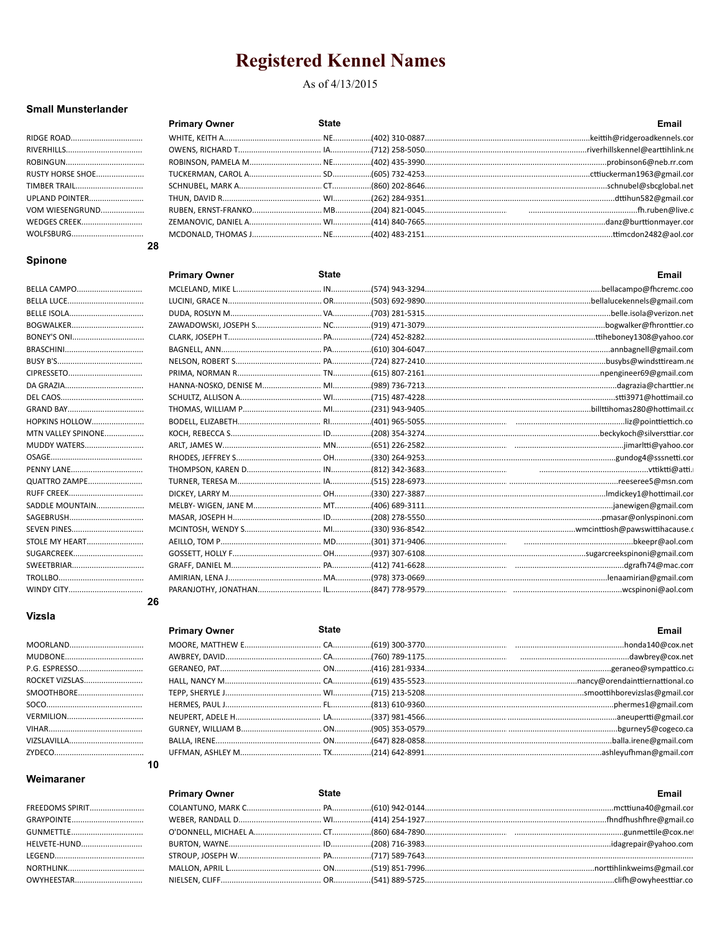#### As of 4/13/2015

**State** 

**Primary Owner** 

#### **Small Munsterlander**

| RIDGE ROAD          |
|---------------------|
|                     |
|                     |
| RUSTY HORSE SHOE    |
| <b>TIMBER TRAIL</b> |
| UPLAND POINTER      |
| VOM WIESENGRUND     |
| WEDGES CREEK        |
|                     |
|                     |

#### **Spinone**

| BELLA CAMPO           |    |
|-----------------------|----|
|                       |    |
| BELLE ISOLA           |    |
| BOGWALKER             |    |
| BONEY'S ONI           |    |
|                       |    |
|                       |    |
|                       |    |
|                       |    |
|                       |    |
|                       |    |
| <b>HOPKINS HOLLOW</b> |    |
| MTN VALLEY SPINONE    |    |
| <b>MUDDY WATERS</b>   |    |
|                       |    |
| <b>PENNY LANE</b>     |    |
| <b>QUATTRO ZAMPE</b>  |    |
|                       |    |
| SADDLE MOUNTAIN       |    |
|                       |    |
| SEVEN PINES           |    |
| <b>STOLE MY HEART</b> |    |
|                       |    |
| SWEETBRIAR            |    |
|                       |    |
|                       |    |
|                       | 26 |

### Vizsla

| ROCKET VIZSLAS |
|----------------|
| SMOOTHBORE     |
|                |
|                |
|                |
|                |
|                |

10

|   | <b>Primary Owner</b> | <b>State</b> | Email |
|---|----------------------|--------------|-------|
| . |                      |              |       |
| . |                      |              |       |
| . |                      |              |       |
| . |                      |              |       |
| . |                      |              |       |
| . |                      |              |       |
| . |                      |              |       |

|    | <b>Primary Owner</b> | <b>State</b> | Email                                                                                                    |
|----|----------------------|--------------|----------------------------------------------------------------------------------------------------------|
|    |                      |              |                                                                                                          |
|    |                      |              |                                                                                                          |
|    |                      |              |                                                                                                          |
|    |                      |              |                                                                                                          |
|    |                      |              |                                                                                                          |
|    |                      |              |                                                                                                          |
|    |                      |              |                                                                                                          |
|    |                      |              |                                                                                                          |
|    |                      |              | MCDONALD, THOMAS J………………………………………………………402) 483-2151………………………………………………………………………………………ttimcdon2482@aol.co |
| 28 |                      |              |                                                                                                          |

**Fmail** 

| Email                                                                                                 | <b>State</b> | <b>Primary Owner</b> |          |
|-------------------------------------------------------------------------------------------------------|--------------|----------------------|----------|
|                                                                                                       |              |                      | $\cdots$ |
|                                                                                                       |              |                      | .        |
|                                                                                                       |              |                      | .        |
|                                                                                                       |              |                      | .        |
|                                                                                                       |              |                      | .        |
| HERMES, PAUL J……………………………………………FL………………(813) 610-9360………………………………………………………………………………phermes1@gmail.com |              |                      | $\cdots$ |
|                                                                                                       |              |                      | .        |
|                                                                                                       |              |                      | $\cdots$ |
|                                                                                                       |              |                      | .        |
|                                                                                                       |              |                      | 1.1.1    |

### Weimaraner

#### FREEDOMS SPIRIT............... GRAYPOINTE........................ **HELVETE-HUND..................** LEGEND................................ **NORTHLINK........................** OWYHEESTAR.....................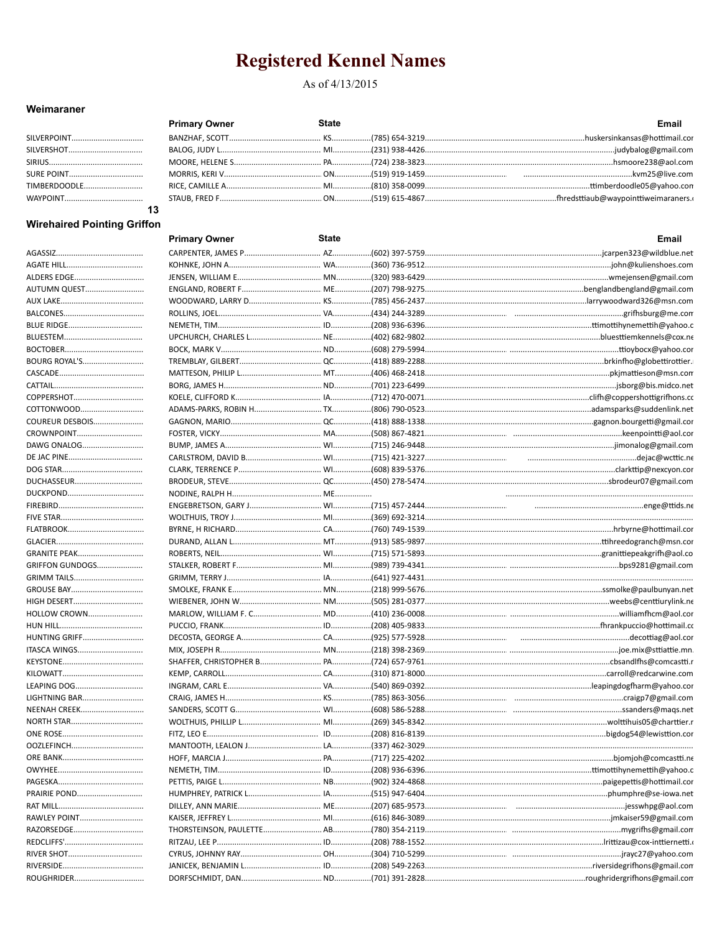### As of 4/13/2015

### Weimaraner

|                   | <b>Primary Owner</b> | <b>State</b> | Email |
|-------------------|----------------------|--------------|-------|
|                   |                      |              |       |
|                   |                      |              |       |
|                   |                      |              |       |
| <b>SURE POINT</b> |                      |              |       |
| TIMBERDOODLE      |                      |              |       |
|                   |                      |              |       |
|                   |                      |              |       |

### **Wirehaired Pointing Griffon**

|                                      | <b>Primary Owner</b> | State | Email                                                                                                    |
|--------------------------------------|----------------------|-------|----------------------------------------------------------------------------------------------------------|
|                                      |                      |       |                                                                                                          |
|                                      |                      |       | KOHNKE, JOHN A……………………………………………………………(360) 736-9512………………………………………………………………………………………john@kulienshoes.com |
| ALDERS EDGE                          |                      |       |                                                                                                          |
| AUTUMN QUEST                         |                      |       |                                                                                                          |
|                                      |                      |       |                                                                                                          |
|                                      |                      |       |                                                                                                          |
|                                      |                      |       |                                                                                                          |
|                                      |                      |       |                                                                                                          |
|                                      |                      |       |                                                                                                          |
| BOURG ROYAL'S                        |                      |       |                                                                                                          |
|                                      |                      |       |                                                                                                          |
|                                      |                      |       |                                                                                                          |
| COPPERSHOT                           |                      |       |                                                                                                          |
| COTTONWOOD                           |                      |       |                                                                                                          |
| COUREUR DESBOIS                      |                      |       |                                                                                                          |
| CROWNPOINT                           |                      |       |                                                                                                          |
| DAWG ONALOG                          |                      |       |                                                                                                          |
|                                      |                      |       |                                                                                                          |
|                                      |                      |       |                                                                                                          |
| DUCHASSEUR                           |                      |       |                                                                                                          |
|                                      |                      |       |                                                                                                          |
|                                      |                      |       |                                                                                                          |
|                                      |                      |       |                                                                                                          |
|                                      |                      |       |                                                                                                          |
|                                      |                      |       |                                                                                                          |
| GRANITE PEAK                         |                      |       |                                                                                                          |
| <b>GRIFFON GUNDOGS</b>               |                      |       |                                                                                                          |
| GRIMM TAILS                          |                      |       |                                                                                                          |
| GROUSE BAY                           |                      |       |                                                                                                          |
|                                      |                      |       |                                                                                                          |
| HOLLOW CROWN                         |                      |       |                                                                                                          |
|                                      |                      |       |                                                                                                          |
|                                      |                      |       |                                                                                                          |
| <b>HUNTING GRIFF</b>                 |                      |       |                                                                                                          |
| ITASCA WINGS                         |                      |       |                                                                                                          |
|                                      |                      |       |                                                                                                          |
|                                      |                      |       |                                                                                                          |
| LEAPING DOG                          |                      |       |                                                                                                          |
| LIGHTNING BAR<br><b>NEENAH CREEK</b> |                      |       |                                                                                                          |
| <b>NORTH STAR</b>                    |                      |       |                                                                                                          |
|                                      |                      |       |                                                                                                          |
|                                      |                      |       |                                                                                                          |
| OOZLEFINCH                           |                      |       |                                                                                                          |
| ORE BANK.                            | HOFF, MARCIA J.      |       |                                                                                                          |
|                                      |                      |       |                                                                                                          |
|                                      |                      |       |                                                                                                          |
| PRAIRIE POND                         |                      |       |                                                                                                          |
|                                      |                      |       |                                                                                                          |
| RAWLEY POINT                         |                      |       |                                                                                                          |
| RAZORSEDGE                           |                      |       |                                                                                                          |
|                                      |                      |       |                                                                                                          |
|                                      |                      |       |                                                                                                          |
|                                      |                      |       |                                                                                                          |
|                                      |                      |       |                                                                                                          |